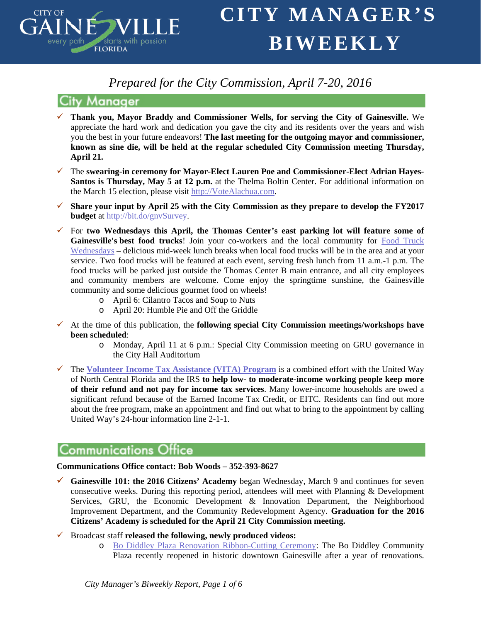

# *Prepared for the City Commission, April 7-20, 2016*

## **City Manager**

- **Thank you, Mayor Braddy and Commissioner Wells, for serving the City of Gainesville.** We appreciate the hard work and dedication you gave the city and its residents over the years and wish you the best in your future endeavors! **The last meeting for the outgoing mayor and commissioner, known as sine die, will be held at the regular scheduled City Commission meeting Thursday, April 21.**
- The **swearing-in ceremony for Mayor-Elect Lauren Poe and Commissioner-Elect Adrian Hayes-Santos is Thursday, May 5 at 12 p.m.** at the Thelma Boltin Center. For additional information on the March 15 election, please visit [http://VoteAlachua.com.](http://votealachua.com/)
- **Share your input by April 25 with the City Commission as they prepare to develop the FY2017 budget** at [http://bit.do/gnvSurvey.](http://bit.do/gnvSurvey)
- For **two Wednesdays this April, the Thomas Center's east parking lot will feature some of Gainesville's best food trucks**! Join your co-workers and the local community for [Food Truck](http://ggsp/Lists/Announcements/Attachments/1296/Food%20Truck%20Wednesdays%20Flyer_p2.pdf)  [Wednesdays](http://ggsp/Lists/Announcements/Attachments/1296/Food%20Truck%20Wednesdays%20Flyer_p2.pdf) – delicious mid-week lunch breaks when local food trucks will be in the area and at your service. Two food trucks will be featured at each event, serving fresh lunch from 11 a.m.-1 p.m. The food trucks will be parked just outside the Thomas Center B main entrance, and all city employees and community members are welcome. Come enjoy the springtime sunshine, the Gainesville community and some delicious gourmet food on wheels!
	- o April 6: Cilantro Tacos and Soup to Nuts
	- o April 20: Humble Pie and Off the Griddle
- $\checkmark$  At the time of this publication, the **following special City Commission meetings/workshops have been scheduled**:
	- o Monday, April 11 at 6 p.m.: Special City Commission meeting on GRU governance in the City Hall Auditorium
- The **[Volunteer Income Tax Assistance \(VITA\) Program](http://www.unitedwayncfl.org/vita)** is a combined effort with the United Way of North Central Florida and the IRS **to help low- to moderate-income working people keep more of their refund and not pay for income tax services**. Many lower-income households are owed a significant refund because of the Earned Income Tax Credit, or EITC. Residents can find out more about the free program, make an appointment and find out what to bring to the appointment by calling United Way's 24-hour information line 2-1-1.

## **Communications Office**

## **Communications Office contact: Bob Woods – 352-393-8627**

- **Gainesville 101: the 2016 Citizens' Academy** began Wednesday, March 9 and continues for seven consecutive weeks. During this reporting period, attendees will meet with Planning & Development Services, GRU, the Economic Development & Innovation Department, the Neighborhood Improvement Department, and the Community Redevelopment Agency. **Graduation for the 2016 Citizens' Academy is scheduled for the April 21 City Commission meeting.**
- Broadcast staff **released the following, newly produced videos:**
	- o [Bo Diddley Plaza Renovation Ribbon-Cutting Ceremony:](https://www.youtube.com/watch?v=j35l4j6zjJ0) The Bo Diddley Community Plaza recently reopened in historic downtown Gainesville after a year of renovations.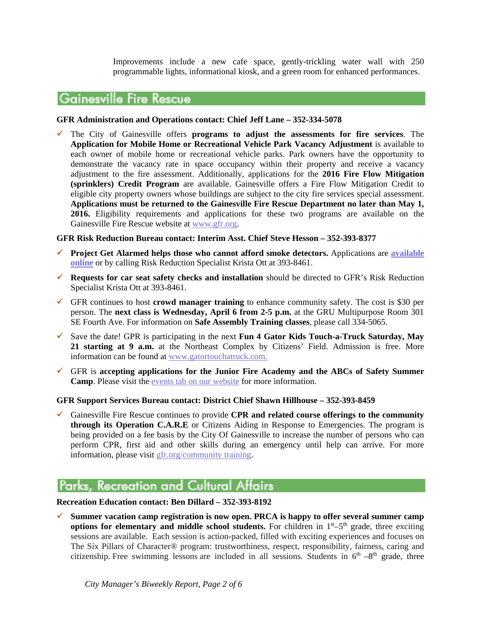Improvements include a new cafe space, gently-trickling water wall with 250 programmable lights, informational kiosk, and a green room for enhanced performances.

## **Gainesville Fire Rescue**

#### **GFR Administration and Operations contact: Chief Jeff Lane – 352-334-5078**

 The City of Gainesville offers **programs to adjust the assessments for fire services**. The **Application for Mobile Home or Recreational Vehicle Park Vacancy Adjustment** is available to each owner of mobile home or recreational vehicle parks. Park owners have the opportunity to demonstrate the vacancy rate in space occupancy within their property and receive a vacancy adjustment to the fire assessment. Additionally, applications for the **2016 Fire Flow Mitigation (sprinklers) Credit Program** are available. Gainesville offers a Fire Flow Mitigation Credit to eligible city property owners whose buildings are subject to the city fire services special assessment. **Applications must be returned to the Gainesville Fire Rescue Department no later than May 1, 2016.** Eligibility requirements and applications for these two programs are available on the Gainesville Fire Rescue website at [www.gfr.org.](http://lists.gvlfl.org/t/239867/20844/2003/3/)

#### **GFR Risk Reduction Bureau contact: Interim Asst. Chief Steve Hesson – 352-393-8377**

- **Project Get Alarmed helps those who cannot afford smoke detectors.** Applications are **[available](http://www.cityofgainesville.org/Portals/0/GFR/Project%20Get%20Alarmed.pdf)  [online](http://www.cityofgainesville.org/Portals/0/GFR/Project%20Get%20Alarmed.pdf)** or by calling Risk Reduction Specialist Krista Ott at 393-8461.
- **Requests for car seat safety checks and installation** should be directed to GFR's Risk Reduction Specialist Krista Ott at 393-8461.
- $\checkmark$  GFR continues to host **crowd manager training** to enhance community safety. The cost is \$30 per person. The **next class is Wednesday, April 6 from 2-5 p.m.** at the GRU Multipurpose Room 301 SE Fourth Ave. For information on **Safe Assembly Training classes**, please call 334-5065.
- Save the date! GPR is participating in the next **Fun 4 Gator Kids Touch-a-Truck Saturday, May 21 starting at 9 a.m.** at the Northeast Complex by Citizens' Field. Admission is free. More information can be found at [www.gatortouchatruck.com.](http://www.gatortouchatruck.com/)
- GFR is **accepting applications for the Junior Fire Academy and the ABCs of Safety Summer Camp**. Please visit the [events tab on our website](http://www.cityofgainesville.org/GainesvilleFireRescue(GFR).aspx#169243-events) for more information.

#### **GFR Support Services Bureau contact: District Chief Shawn Hillhouse – 352-393-8459**

 Gainesville Fire Rescue continues to provide **CPR and related course offerings to the community through its Operation C.A.R.E** or Citizens Aiding in Response to Emergencies. The program is being provided on a fee basis by the City Of Gainesville to increase the number of persons who can perform CPR, first aid and other skills during an emergency until help can arrive. For more information, please visit [gfr.org/community training.](http://www.cityofgainesville.org/GainesvilleFireRescue(GFR)/SupportServices/CommunityClasses.aspx)

## Parks, Recreation and Cultural Affairs

#### **Recreation Education contact: Ben Dillard – 352-393-8192**

 **Summer vacation camp registration is now open. PRCA is happy to offer several summer camp options for elementary and middle school students.** For children in  $1<sup>st</sup> - 5<sup>th</sup>$  grade, three exciting sessions are available. Each session is action-packed, filled with exciting experiences and focuses on The Six Pillars of Character® program: trustworthiness, respect, responsibility, fairness, caring and citizenship. Free swimming lessons are included in all sessions. Students in  $6<sup>th</sup> - 8<sup>th</sup>$  grade, three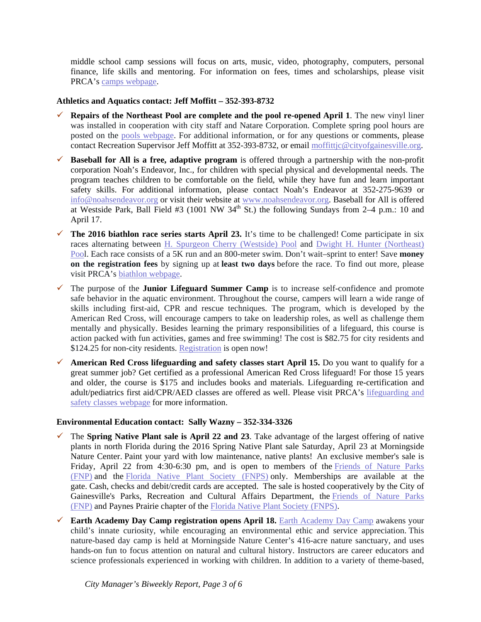middle school camp sessions will focus on arts, music, video, photography, computers, personal finance, life skills and mentoring. For information on fees, times and scholarships, please visit PRCA's [camps webpage.](http://www.cityofgainesville.org/ParksRecreationCulturalAffairs/YouthProgramsCamps/Camps.aspx)

### **Athletics and Aquatics contact: Jeff Moffitt – 352-393-8732**

- **Repairs of the Northeast Pool are complete and the pool re-opened April 1.** The new vinyl liner was installed in cooperation with city staff and Natare Corporation. Complete spring pool hours are posted on the [pools webpage.](http://www.cityofgainesville.org/ParksRecreationCulturalAffairs/Sports,AquaticsFitness/Aquatics/Pools.aspx#NorthseastPool) For additional information, or for any questions or comments, please contact Recreation Supervisor Jeff Moffitt at 352-393-8732, or email [moffittjc@cityofgainesville.org.](mailto:moffittjc@cityofgainesville.org)
- **Baseball for All is a free, adaptive program** is offered through a partnership with the non-profit corporation Noah's Endeavor, Inc., for children with special physical and developmental needs. The program teaches children to be comfortable on the field, while they have fun and learn important safety skills. For additional information, please contact Noah's Endeavor at 352-275-9639 or [info@noahsendeavor.org](mailto:info@noahsendeavor.org) or visit their website at [www.noahsendeavor.org.](http://noahsendeavor.org/) Baseball for All is offered at Westside Park, Ball Field #3 (1001 NW  $34<sup>th</sup>$  St.) the following Sundays from 2–4 p.m.: 10 and April 17.
- **The 2016 biathlon race series starts April 23.** It's time to be challenged! Come participate in six races alternating between H. Spurgeon Cherry [\(Westside\)](http://www.cityofgainesville.org/ParksRecreationCulturalAffairs/Sports,AquaticsFitness/Aquatics/Pools.aspx#WestsidePool) Pool and Dwight H. Hunter [\(Northeast\)](http://www.cityofgainesville.org/ParksRecreationCulturalAffairs/Sports,AquaticsFitness/Aquatics/Pools.aspx#NortheastPool) [Pool](http://www.cityofgainesville.org/ParksRecreationCulturalAffairs/Sports,AquaticsFitness/Aquatics/Pools.aspx#NortheastPool). Each race consists of a 5K run and an 800-meter swim. Don't wait–sprint to enter! Save **money on the registration fees** by signing up at **least two days** before the race. To find out more, please visit PRCA's [biathlon webpage.](http://www.cityofgainesville.org/ParksRecreationCulturalAffairs/Sports,AquaticsFitness/Aquatics/SpecialEvents.aspx)
- The purpose of the **Junior Lifeguard Summer Camp** is to increase self-confidence and promote safe behavior in the aquatic environment. Throughout the course, campers will learn a wide range of skills including first-aid, CPR and rescue techniques. The program, which is developed by the American Red Cross, will encourage campers to take on leadership roles, as well as challenge them mentally and physically. Besides learning the primary responsibilities of a lifeguard, this course is action packed with fun activities, games and free swimming! The cost is \$82.75 for city residents and \$124.25 for non-city residents. [Registration](http://www.cityofgainesville.org/ParksRecreationCulturalAffairs/Sports,AquaticsFitness/Aquatics/Camps.aspx) is open now!
- **American Red Cross lifeguarding and safety classes start April 15.** Do you want to qualify for a great summer job? Get certified as a professional American Red Cross lifeguard! For those 15 years and older, the course is \$175 and includes books and materials. Lifeguarding re-certification and adult/pediatrics first aid/CPR/AED classes are offered as well. Please visit PRCA's [lifeguarding and](http://www.cityofgainesville.org/ParksRecreationCulturalAffairs/Sports,AquaticsFitness/Aquatics/LifeguardingSafetyClasses.aspx)  [safety classes webpage](http://www.cityofgainesville.org/ParksRecreationCulturalAffairs/Sports,AquaticsFitness/Aquatics/LifeguardingSafetyClasses.aspx) for more information.

### **Environmental Education contact: Sally Wazny – 352-334-3326**

- $\checkmark$  The **Spring Native Plant sale is April 22 and 23**. Take advantage of the largest offering of native plants in north Florida during the 2016 Spring Native Plant sale Saturday, April 23 at Morningside Nature Center. Paint your yard with low maintenance, native plants! An exclusive member's sale is Friday, April 22 from 4:30-6:30 pm, and is open to members of the [Friends of Nature Parks](http://www.friendsofnatureparks.org/)  [\(FNP\)](http://www.friendsofnatureparks.org/) and the [Florida Native Plant Society \(FNPS\)](http://www.fnps.org/) only. Memberships are available at the gate. Cash, checks and debit/credit cards are accepted. The sale is hosted cooperatively by the City of Gainesville's Parks, Recreation and Cultural Affairs Department, the [Friends of Nature Parks](http://www.friendsofnatureparks.org/)  [\(FNP\)](http://www.friendsofnatureparks.org/) and Paynes Prairie chapter of the [Florida Native Plant Society \(FNPS\).](http://www.fnps.org/)
- **Earth [Academy](http://www.cityofgainesville.org/ParksRecreationCulturalAffairs/NaturalResourcesandPrograms/EarthAcademyDayCamp.aspx) Day Camp registration opens April 18. Earth Academy Day Camp awakens your** child's innate curiosity, while encouraging an environmental ethic and service appreciation. This nature-based day camp is held at Morningside Nature Center's 416-acre nature sanctuary, and uses hands-on fun to focus attention on natural and cultural history. Instructors are career educators and science professionals experienced in working with children. In addition to a variety of theme-based,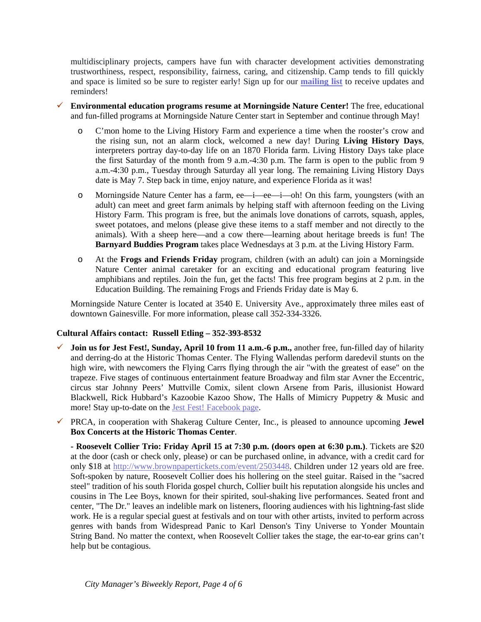multidisciplinary projects, campers have fun with character development activities demonstrating trustworthiness, respect, responsibility, fairness, caring, and citizenship. Camp tends to fill quickly and space is limited so be sure to register early! Sign up for our **[mailing](mailto:EarthAcademy@cityofgainesville.org?subject=Earth%20Academy%20Day%20Camp%20Inquiry) list** to receive updates and reminders!

- **Environmental education programs resume at Morningside Nature Center!** The free, educational and fun-filled programs at Morningside Nature Center start in September and continue through May!
	- o C'mon home to the Living History Farm and experience a time when the rooster's crow and the rising sun, not an alarm clock, welcomed a new day! During **Living History Days**, interpreters portray day-to-day life on an 1870 Florida farm. Living History Days take place the first Saturday of the month from 9 a.m.-4:30 p.m. The farm is open to the public from 9 a.m.-4:30 p.m., Tuesday through Saturday all year long. The remaining Living History Days date is May 7. Step back in time, enjoy nature, and experience Florida as it was!
	- o Morningside Nature Center has a farm, ee—i—ee—i—oh! On this farm, youngsters (with an adult) can meet and greet farm animals by helping staff with afternoon feeding on the Living History Farm. This program is free, but the animals love donations of carrots, squash, apples, sweet potatoes, and melons (please give these items to a staff member and not directly to the animals). With a sheep here—and a cow there—learning about heritage breeds is fun! The **Barnyard Buddies Program** takes place Wednesdays at 3 p.m. at the Living History Farm.
	- o At the **Frogs and Friends Friday** program, children (with an adult) can join a Morningside Nature Center animal caretaker for an exciting and educational program featuring live amphibians and reptiles. Join the fun, get the facts! This free program begins at 2 p.m. in the Education Building. The remaining Frogs and Friends Friday date is May 6.

Morningside Nature Center is located at 3540 E. University Ave., approximately three miles east of downtown Gainesville. For more information, please call 352-334-3326.

### **Cultural Affairs contact: Russell Etling – 352-393-8532**

- **Join us for Jest Fest!, Sunday, April 10 from 11 a.m.-6 p.m.,** another free, fun-filled day of hilarity and derring-do at the Historic Thomas Center. The Flying Wallendas perform daredevil stunts on the high wire, with newcomers the Flying Carrs flying through the air "with the greatest of ease" on the trapeze. Five stages of continuous entertainment feature Broadway and film star Avner the Eccentric, circus star Johnny Peers' Muttville Comix, silent clown Arsene from Paris, illusionist Howard Blackwell, Rick Hubbard's Kazoobie Kazoo Show, The Halls of Mimicry Puppetry & Music and more! Stay up-to-date on the [Jest Fest! Facebook page.](https://www.facebook.com/jestfestgainesville/)
- PRCA, in cooperation with Shakerag Culture Center, Inc., is pleased to announce upcoming **Jewel Box Concerts at the Historic Thomas Center**.

**- Roosevelt Collier Trio: Friday April 15 at 7:30 p.m. (doors open at 6:30 p.m.)**. Tickets are \$20 at the door (cash or check only, please) or can be purchased online, in advance, with a credit card for only \$18 at [http://www.brownpapertickets.com/event/2503448.](http://www.brownpapertickets.com/event/2503448) Children under 12 years old are free. Soft-spoken by nature, Roosevelt Collier does his hollering on the steel guitar. Raised in the "sacred steel" tradition of his south Florida gospel church, Collier built his reputation alongside his uncles and cousins in The Lee Boys, known for their spirited, soul-shaking live performances. Seated front and center, "The Dr." leaves an indelible mark on listeners, flooring audiences with his lightning-fast slide work. He is a regular special guest at festivals and on tour with other artists, invited to perform across genres with bands from Widespread Panic to Karl Denson's Tiny Universe to Yonder Mountain String Band. No matter the context, when Roosevelt Collier takes the stage, the ear-to-ear grins can't help but be contagious.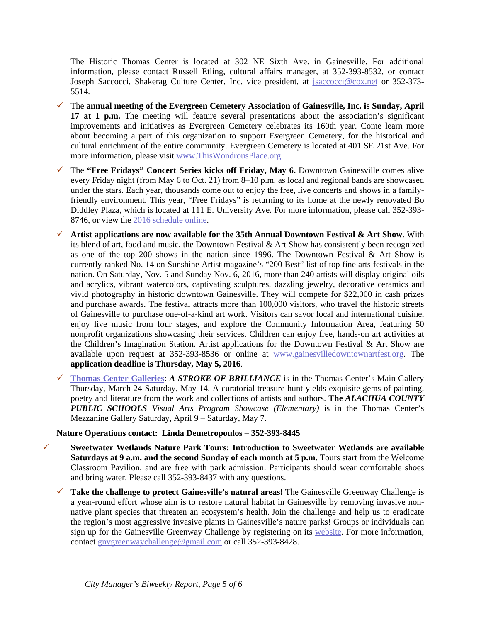The Historic Thomas Center is located at 302 NE Sixth Ave. in Gainesville. For additional information, please contact Russell Etling, cultural affairs manager, at 352-393-8532, or contact Joseph Saccocci, Shakerag Culture Center, Inc. vice president, at *jsaccocci@cox.net* or 352-373-5514.

- The **annual meeting of the Evergreen Cemetery Association of Gainesville, Inc. is Sunday, April 17 at 1 p.m.** The meeting will feature several presentations about the association's significant improvements and initiatives as Evergreen Cemetery celebrates its 160th year. Come learn more about becoming a part of this organization to support Evergreen Cemetery, for the historical and cultural enrichment of the entire community. Evergreen Cemetery is located at 401 SE 21st Ave. For more information, please visit [www.ThisWondrousPlace.org.](http://www.thiswondrousplace.org/)
- The **"Free Fridays" Concert Series kicks off Friday, May 6.** Downtown Gainesville comes alive every Friday night (from May 6 to Oct. 21) from 8–10 p.m. as local and regional bands are showcased under the stars. Each year, thousands come out to enjoy the free, live concerts and shows in a familyfriendly environment. This year, "Free Fridays" is returning to its home at the newly renovated Bo Diddley Plaza, which is located at 111 E. University Ave. For more information, please call 352-393- 8746, or view the [2016 schedule online.](http://www.gvlculturalaffairs.org/website/programs_events/plaza_series/plaza.html)
- $\checkmark$  Artist applications are now available for the 35th Annual Downtown Festival & Art Show. With its blend of art, food and music, the Downtown Festival & Art Show has consistently been recognized as one of the top 200 shows in the nation since 1996. The Downtown Festival & Art Show is currently ranked No. 14 on Sunshine Artist magazine's "200 Best" list of top fine arts festivals in the nation. On Saturday, Nov. 5 and Sunday Nov. 6, 2016, more than 240 artists will display original oils and acrylics, vibrant watercolors, captivating sculptures, dazzling jewelry, decorative ceramics and vivid photography in historic downtown Gainesville. They will compete for \$22,000 in cash prizes and purchase awards. The festival attracts more than 100,000 visitors, who travel the historic streets of Gainesville to purchase one-of-a-kind art work. Visitors can savor local and international cuisine, enjoy live music from four stages, and explore the Community Information Area, featuring 50 nonprofit organizations showcasing their services. Children can enjoy free, hands-on art activities at the Children's Imagination Station. Artist applications for the Downtown Festival & Art Show are available upon request at 352-393-8536 or online at [www.gainesvilledowntownartfest.org.](http://www.gainesvilledowntownartfest.org/) The **application deadline is Thursday, May 5, 2016**.
- **[Thomas Center Galleries](http://www.gvlculturalaffairs.org/website/programs_events/Galleries/galleries.html)**: *A STROKE OF BRILLIANCE* is in the Thomas Center's Main Gallery Thursday, March 24-Saturday, May 14. A curatorial treasure hunt yields exquisite gems of painting, poetry and literature from the work and collections of artists and authors. **The** *ALACHUA COUNTY PUBLIC SCHOOLS Visual Arts Program Showcase (Elementary)* is in the Thomas Center's Mezzanine Gallery Saturday, April 9 – Saturday, May 7.

### **Nature Operations contact: Linda Demetropoulos – 352-393-8445**

- **Sweetwater Wetlands Nature Park Tours: Introduction to Sweetwater Wetlands are available Saturdays at 9 a.m. and the second Sunday of each month at 5 p.m.** Tours start from the Welcome Classroom Pavilion, and are free with park admission. Participants should wear comfortable shoes and bring water. Please call 352-393-8437 with any questions.
	- **Take the challenge to protect Gainesville's natural areas!** The Gainesville Greenway Challenge is a year-round effort whose aim is to restore natural habitat in Gainesville by removing invasive nonnative plant species that threaten an ecosystem's health. Join the challenge and help us to eradicate the region's most aggressive invasive plants in Gainesville's nature parks! Groups or individuals can sign up for the Gainesville Greenway Challenge by registering on its [website.](http://www.cityofgainesville.org/ParksRecreationCulturalAffairs/NaturalResourcesandPrograms/GainesvilleGreenwayChallenge.aspx) For more information, contact [gnvgreenwaychallenge@gmail.com](mailto:gnvgreenwaychallenge@gmail.com) or call 352-393-8428.